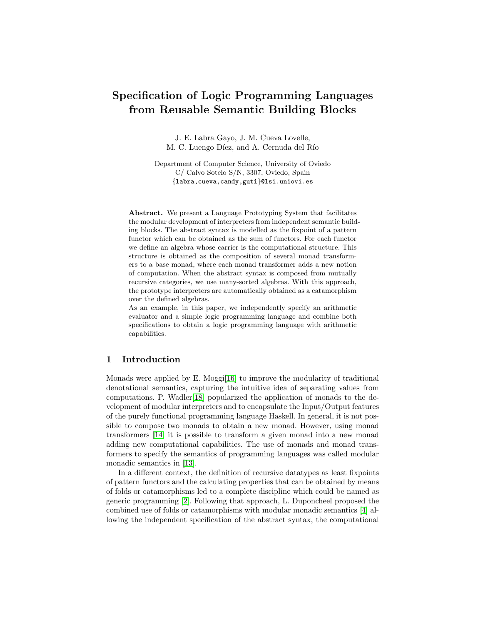# Specification of Logic Programming Languages from Reusable Semantic Building Blocks

J. E. Labra Gayo, J. M. Cueva Lovelle, M. C. Luengo Díez, and A. Cernuda del Río

Department of Computer Science, University of Oviedo C/ Calvo Sotelo S/N, 3307, Oviedo, Spain {labra,cueva,candy,guti}@lsi.uniovi.es

Abstract. We present a Language Prototyping System that facilitates the modular development of interpreters from independent semantic building blocks. The abstract syntax is modelled as the fixpoint of a pattern functor which can be obtained as the sum of functors. For each functor we define an algebra whose carrier is the computational structure. This structure is obtained as the composition of several monad transformers to a base monad, where each monad transformer adds a new notion of computation. When the abstract syntax is composed from mutually recursive categories, we use many-sorted algebras. With this approach, the prototype interpreters are automatically obtained as a catamorphism over the defined algebras.

As an example, in this paper, we independently specify an arithmetic evaluator and a simple logic programming language and combine both specifications to obtain a logic programming language with arithmetic capabilities.

### 1 Introduction

Monads were applied by E. Moggi $[16]$  to improve the modularity of traditional denotational semantics, capturing the intuitive idea of separating values from computations. P. Wadler[\[18\]](#page-11-0) popularized the application of monads to the development of modular interpreters and to encapsulate the Input/Output features of the purely functional programming language Haskell. In general, it is not possible to compose two monads to obtain a new monad. However, using monad transformers [\[14\]](#page-10-1) it is possible to transform a given monad into a new monad adding new computational capabilities. The use of monads and monad transformers to specify the semantics of programming languages was called modular monadic semantics in [\[13\]](#page-10-2).

In a different context, the definition of recursive datatypes as least fixpoints of pattern functors and the calculating properties that can be obtained by means of folds or catamorphisms led to a complete discipline which could be named as generic programming [\[2\]](#page-10-3). Following that approach, L. Duponcheel proposed the combined use of folds or catamorphisms with modular monadic semantics [\[4\]](#page-10-4) allowing the independent specification of the abstract syntax, the computational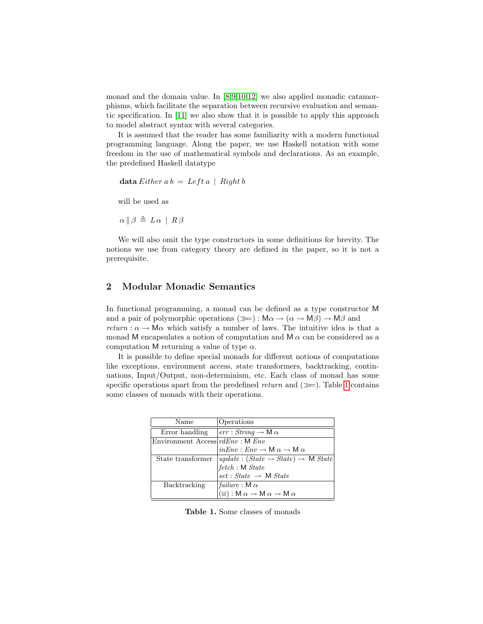monad and the domain value. In [\[8,](#page-10-5)[9,](#page-10-6)[10](#page-10-7)[,12\]](#page-10-8) we also applied monadic catamorphisms, which facilitate the separation between recursive evaluation and semantic specification. In [\[11\]](#page-10-9) we also show that it is possible to apply this approach to model abstract syntax with several categories.

It is assumed that the reader has some familiarity with a modern functional programming language. Along the paper, we use Haskell notation with some freedom in the use of mathematical symbols and declarations. As an example, the predefined Haskell datatype

```
data Either a b = Left a \mid Right b
```
will be used as

 $\alpha \parallel \beta \triangleq L \alpha \parallel R \beta$ 

We will also omit the type constructors in some definitions for brevity. The notions we use from category theory are defined in the paper, so it is not a prerequisite.

## 2 Modular Monadic Semantics

In functional programming, a monad can be defined as a type constructor M and a pair of polymorphic operations ( $\gg$ ):  $\mathsf{M}\alpha \rightarrow (\alpha \rightarrow \mathsf{M}\beta) \rightarrow \mathsf{M}\beta$  and return :  $\alpha \rightarrow M\alpha$  which satisfy a number of laws. The intuitive idea is that a monad M encapsulates a notion of computation and  $M \alpha$  can be considered as a computation M returning a value of type  $\alpha$ .

It is possible to define special monads for different notions of computations like exceptions, environment access, state transformers, backtracking, continuations, Input/Output, non-determinism, etc. Each class of monad has some specific operations apart from the predefined return and  $(\gg)$ . Table [1](#page-1-0) contains some classes of monads with their operations.

| Name                                 | Operations                                                                    |
|--------------------------------------|-------------------------------------------------------------------------------|
| Error handling                       | $err: String \rightarrow M \alpha$                                            |
| Environment Access $rdEnv$ : M $Env$ |                                                                               |
|                                      | $inEnv : Env \rightarrow M \alpha \rightarrow M \alpha$                       |
| State transformer                    | $ update : (State \rightarrow State) \rightarrow M State $                    |
|                                      | fetch : M State                                                               |
|                                      | $set$ : $State\ \rightarrow \ \textsf{M}\ State$                              |
| Backtracking                         | <i>failure</i> : M $\alpha$                                                   |
|                                      | $(\mathbb{U}): \mathsf{M} \alpha \to \mathsf{M} \alpha \to \mathsf{M} \alpha$ |

<span id="page-1-0"></span>Table 1. Some classes of monads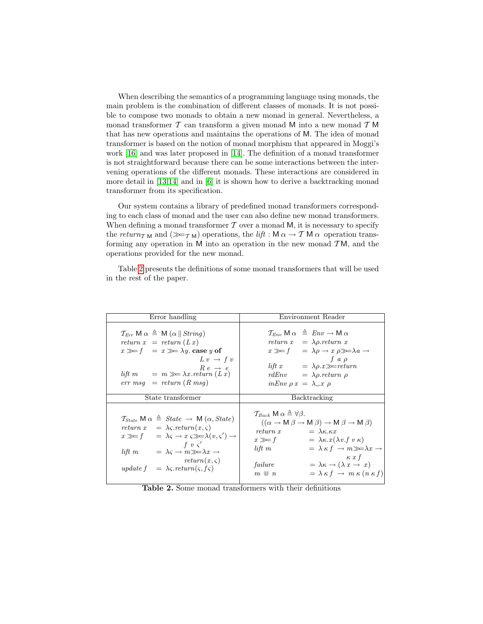When describing the semantics of a programming language using monads, the main problem is the combination of different classes of monads. It is not possible to compose two monads to obtain a new monad in general. Nevertheless, a monad transformer  $T$  can transform a given monad M into a new monad  $T M$ that has new operations and maintains the operations of M. The idea of monad transformer is based on the notion of monad morphism that appeared in Moggi's work [\[16\]](#page-10-0) and was later proposed in [\[14\]](#page-10-1). The definition of a monad transformer is not straightforward because there can be some interactions between the intervening operations of the different monads. These interactions are considered in more detail in [\[13,](#page-10-2)[14\]](#page-10-1) and in [\[6\]](#page-10-10) it is shown how to derive a backtracking monad transformer from its specification.

Our system contains a library of predefined monad transformers corresponding to each class of monad and the user can also define new monad transformers. When defining a monad transformer  $T$  over a monad M, it is necessary to specify the return<sub>TM</sub> and  $(\ggg_{T\text{M}})$  operations, the lift : M  $\alpha \to T\text{M }\alpha$  operation transforming any operation in  $M$  into an operation in the new monad  $TM$ , and the operations provided for the new monad.

Table [2](#page-2-0) presents the definitions of some monad transformers that will be used in the rest of the paper.

| Error handling                                                                                                                                                                                                                                                                                                                                                                                                                                          | Environment Reader                                                                                                                                                                                                                                                                                                                                                                                                                                                                                           |
|---------------------------------------------------------------------------------------------------------------------------------------------------------------------------------------------------------------------------------------------------------------------------------------------------------------------------------------------------------------------------------------------------------------------------------------------------------|--------------------------------------------------------------------------------------------------------------------------------------------------------------------------------------------------------------------------------------------------------------------------------------------------------------------------------------------------------------------------------------------------------------------------------------------------------------------------------------------------------------|
| $\mathcal{T}_{Err} \mathsf{M} \alpha \triangleq \mathsf{M} (\alpha \ \textit{String})$<br>return $x = return (Lx)$<br>$x \gg f = x \gg \lambda y$ case y of<br>$L v \rightarrow f v$<br>$R e \rightarrow e$<br>lift $m = m \gg \lambda x.$ return $(Lx)$<br>$err \; msg \; = \; return \; (R \; msg)$                                                                                                                                                   | $\mathcal{T}_{Env} \mathsf{M} \alpha \triangleq Env \rightarrow \mathsf{M} \alpha$<br>return $x = \lambda \rho$ . return x<br>$x \gg f \quad = \lambda \rho \rightarrow x \rho \gg \lambda a \rightarrow$<br>f a $\rho$<br>lift $x = \lambda \rho \cdot x \gg = return$<br>$rdEnv = \lambda \rho . return \rho$<br>$inEnv \rho x = \lambda_{-}x \rho$                                                                                                                                                        |
| State transformer                                                                                                                                                                                                                                                                                                                                                                                                                                       | Backtracking                                                                                                                                                                                                                                                                                                                                                                                                                                                                                                 |
| $\mathcal{T}_{State} \mathsf{M} \alpha \triangleq State \rightarrow \mathsf{M} (\alpha, State)$<br>return $x = \lambda \varsigma$ . return $(x, \varsigma)$<br>$x \gg f$ = $\lambda \varsigma \rightarrow x \varsigma \gg \lambda(v,\varsigma') \rightarrow$<br>f v $\varsigma'$<br>lift $m = \lambda \varsigma \rightarrow m \gg \lambda x \rightarrow$<br>$return(x, \varsigma)$<br>update $f = \lambda \varsigma$ . return $(\varsigma, f\varsigma)$ | $\mathcal{T}_{Back}$ M $\alpha \triangleq \forall \beta$ .<br>$((\alpha \rightarrow M \beta \rightarrow M \beta) \rightarrow M \beta \rightarrow M \beta)$<br>$= \lambda \kappa \kappa x$<br>return x<br>$x \gg f$ = $\lambda \kappa x (\lambda v.f v \kappa)$<br>$= \lambda \kappa f \rightarrow m \gg \lambda x \rightarrow$<br>$lift \, m$<br>$\kappa x f$<br>$= \lambda \kappa \rightarrow (\lambda x \rightarrow x)$<br>failure<br>$= \lambda \kappa f \rightarrow m \kappa (n \kappa f)$<br>$m \vee n$ |

<span id="page-2-0"></span>Table 2. Some monad transformers with their definitions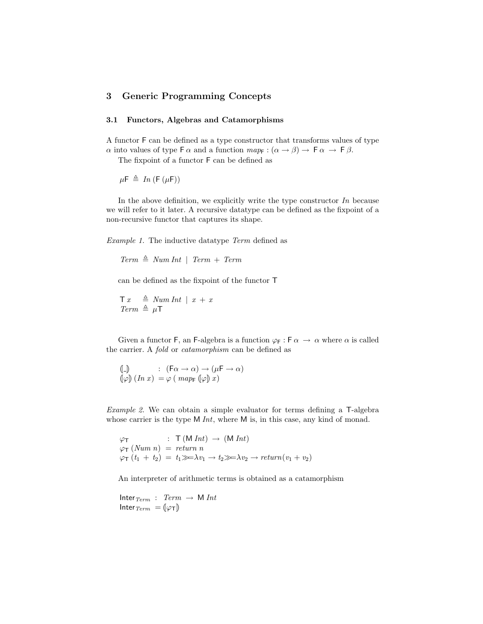## 3 Generic Programming Concepts

#### 3.1 Functors, Algebras and Catamorphisms

A functor F can be defined as a type constructor that transforms values of type  $\alpha$  into values of type F  $\alpha$  and a function  $map_F : (\alpha \to \beta) \to \mathsf{F} \alpha \to \mathsf{F} \beta$ .

The fixpoint of a functor F can be defined as

 $\mu \mathsf{F} \triangleq In(\mathsf{F}(\mu \mathsf{F}))$ 

In the above definition, we explicitly write the type constructor  $In$  because we will refer to it later. A recursive datatype can be defined as the fixpoint of a non-recursive functor that captures its shape.

Example 1. The inductive datatype Term defined as

 $Term \triangleq Num Int \mid Term + Term$ 

can be defined as the fixpoint of the functor T

 $\top x \stackrel{\Delta}{=} NumInt \mid x + x$  $Term \triangleq \mu T$ 

Given a functor F, an F-algebra is a function  $\varphi_F : F \alpha \to \alpha$  where  $\alpha$  is called the carrier. A fold or catamorphism can be defined as

$$
\begin{array}{ll}\n\left(\!\!\left[\begin{smallmatrix}\!- \end{smallmatrix}\right]\right) & \colon & \left(\mathsf{F}\alpha \to \alpha\right) \to \left(\mu\mathsf{F} \to \alpha\right) \\
\left(\!\!\left[\varphi\right]\right) & \left(\ln x\right) & = \varphi \left(\text{ map } \left(\!\!\left[\varphi\right]\right)x\right)\n\end{array}
$$

Example 2. We can obtain a simple evaluator for terms defining a T-algebra whose carrier is the type  $M Int$ , where  $M$  is, in this case, any kind of monad.

 $\varphi_{\mathsf{T}}$  :  $\mathsf{T}(\mathsf{M} \text{ Int}) \rightarrow (\mathsf{M} \text{ Int})$  $\varphi_{\mathsf{T}}(Num\ n) = return\ n$  $\varphi_T(t_1 + t_2) = t_1 \gg \lambda v_1 \rightarrow t_2 \gg \lambda v_2 \rightarrow return(v_1 + v_2)$ 

An interpreter of arithmetic terms is obtained as a catamorphism

Inter $_{Term}$  :  $Term \rightarrow M Int$ Inter  $Term = (\varphi_T)$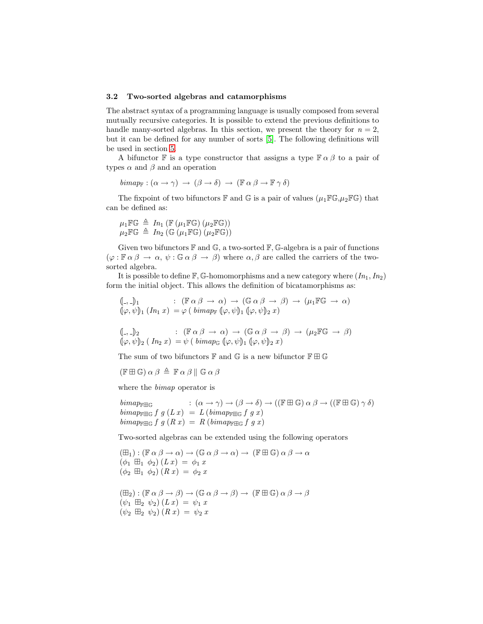#### 3.2 Two-sorted algebras and catamorphisms

The abstract syntax of a programming language is usually composed from several mutually recursive categories. It is possible to extend the previous definitions to handle many-sorted algebras. In this section, we present the theory for  $n = 2$ , but it can be defined for any number of sorts [\[5\]](#page-10-11). The following definitions will be used in section [5.](#page-8-0)

A bifunctor F is a type constructor that assigns a type  $\mathbb{F} \alpha \beta$  to a pair of types  $\alpha$  and  $\beta$  and an operation

$$
bimap_{F}: (\alpha \to \gamma) \to (\beta \to \delta) \to (\mathbb{F} \alpha \beta \to \mathbb{F} \gamma \delta)
$$

The fixpoint of two bifunctors  $\mathbb F$  and  $\mathbb G$  is a pair of values  $(\mu_1 \mathbb F \mathbb G, \mu_2 \mathbb F \mathbb G)$  that can be defined as:

$$
\mu_1 \mathbb{F} \mathbb{G} \triangleq \quad In_1 \left( \mathbb{F} \left( \mu_1 \mathbb{F} \mathbb{G} \right) \left( \mu_2 \mathbb{F} \mathbb{G} \right) \right)
$$
\n
$$
\mu_2 \mathbb{F} \mathbb{G} \triangleq \quad In_2 \left( \mathbb{G} \left( \mu_1 \mathbb{F} \mathbb{G} \right) \left( \mu_2 \mathbb{F} \mathbb{G} \right) \right)
$$

Given two bifunctors  $\mathbb F$  and  $\mathbb G$ , a two-sorted  $\mathbb F$ , G-algebra is a pair of functions  $(\varphi : \mathbb{F} \alpha \beta \to \alpha, \psi : \mathbb{G} \alpha \beta \to \beta)$  where  $\alpha, \beta$  are called the carriers of the twosorted algebra.

It is possible to define  $\mathbb{F}, \mathbb{G}$ -homomorphisms and a new category where  $(In_1, In_2)$ form the initial object. This allows the definition of bicatamorphisms as:

$$
\begin{array}{ll}\n\left(\frac{1}{2}, \frac{1}{2}\right) & : (\mathbb{F} \alpha \beta \to \alpha) \to (\mathbb{G} \alpha \beta \to \beta) \to (\mu_1 \mathbb{F} \mathbb{G} \to \alpha) \\
\left(\frac{1}{2}\phi, \psi\right)_1 & (In_1 x) = \varphi \left(\text{ bimap}_{\mathbb{F}}\left(\frac{1}{2}\phi, \psi\right)_1 (\varphi, \psi)_2 x\right)\n\end{array}
$$

$$
\begin{array}{ll}\n\left(\mathbb{I}_{\neg \neg \neg \mathbb{I}}\right)_2 & : (\mathbb{F}\alpha\beta \to \alpha) \to (\mathbb{G}\alpha\beta \to \beta) \to (\mu_2\mathbb{F}\mathbb{G} \to \beta) \\
\left(\varphi, \psi\right)_2 & (In_2 x) = \psi \left(\text{ bimap}_{\mathbb{G}}\left(\varphi, \psi\right)_1 \left(\varphi, \psi\right)_2 x\right)\n\end{array}
$$

The sum of two bifunctors  $\mathbb F$  and  $\mathbb G$  is a new bifunctor  $\mathbb F\boxplus\mathbb G$ 

$$
(\mathbb{F} \boxplus \mathbb{G}) \alpha \beta \triangleq \mathbb{F} \alpha \beta \parallel \mathbb{G} \alpha \beta
$$

where the bimap operator is

 $\text{bimap}_{\mathbb{F} \boxplus \mathbb{G}} \quad : (\alpha \to \gamma) \to (\beta \to \delta) \to ((\mathbb{F} \boxplus \mathbb{G}) \alpha \beta \to ((\mathbb{F} \boxplus \mathbb{G}) \gamma \delta)$  $bimap_{\mathbb{F} \boxplus \mathbb{G}} f g (L x) = L (bima_{\mathbb{F} \boxplus \mathbb{G}} f g x)$  $bimap_{\mathbb{F} \mathbb{H} \mathbb{G}} f g (R x) = R (bimap_{\mathbb{F} \mathbb{H} \mathbb{G}} f g x)$ 

Two-sorted algebras can be extended using the following operators

$$
(\boxplus_1): (\mathbb{F} \alpha \beta \to \alpha) \to (\mathbb{G} \alpha \beta \to \alpha) \to (\mathbb{F} \boxplus \mathbb{G}) \alpha \beta \to \alpha
$$
  
\n
$$
(\phi_1 \boxplus_1 \phi_2) (Lx) = \phi_1 x
$$
  
\n
$$
(\phi_2 \boxplus_1 \phi_2) (Rx) = \phi_2 x
$$

 $(\boxplus_2) : (\mathbb{F} \alpha \beta \rightarrow \beta) \rightarrow (\mathbb{G} \alpha \beta \rightarrow \beta) \rightarrow (\mathbb{F} \boxplus \mathbb{G}) \alpha \beta \rightarrow \beta$  $(\psi_1 \boxplus_2 \psi_2) (L x) = \psi_1 x$  $(\psi_2 \boxplus_2 \psi_2) (R x) = \psi_2 x$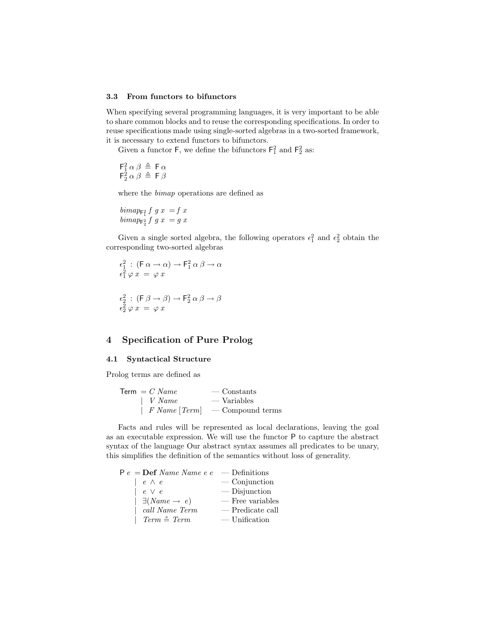#### 3.3 From functors to bifunctors

When specifying several programming languages, it is very important to be able to share common blocks and to reuse the corresponding specifications. In order to reuse specifications made using single-sorted algebras in a two-sorted framework, it is necessary to extend functors to bifunctors.

Given a functor  $\mathsf{F}$ , we define the bifunctors  $\mathsf{F}_1^2$  and  $\mathsf{F}_2^2$  as:

$$
\begin{array}{c}\n\mathsf{F}_1^2 \alpha \beta \triangleq \mathsf{F} \alpha \\
\mathsf{F}_2^2 \alpha \beta \triangleq \mathsf{F} \beta\n\end{array}
$$

where the bimap operations are defined as

$$
\begin{array}{c}\n\text{bimap}_{\mathsf{F}_1^2} f \ g \ x \ = f \ x \\
\text{bimap}_{\mathsf{F}_2^2} f \ g \ x \ = g \ x\n\end{array}
$$

Given a single sorted algebra, the following operators  $\epsilon_1^2$  and  $\epsilon_2^2$  obtain the corresponding two-sorted algebras

$$
\epsilon_1^2 : (\mathsf{F} \alpha \to \alpha) \to \mathsf{F}_1^2 \alpha \beta \to \alpha
$$
  

$$
\epsilon_1^2 \varphi x = \varphi x
$$
  

$$
\epsilon_2^2 : (\mathsf{F} \beta \to \beta) \to \mathsf{F}_2^2 \alpha \beta \to \beta
$$
  

$$
\epsilon_2^2 \varphi x = \varphi x
$$

## 4 Specification of Pure Prolog

#### 4.1 Syntactical Structure

Prolog terms are defined as

| Term $= C Name$      | — Constants      |
|----------------------|------------------|
| $\mid$ V Name        | $-$ Variables    |
| $\mid$ F Name [Term] | — Compound terms |

Facts and rules will be represented as local declarations, leaving the goal as an executable expression. We will use the functor P to capture the abstract syntax of the language Our abstract syntax assumes all predicates to be unary, this simplifies the definition of the semantics without loss of generality.

| $P e = Def Name Name e e$           | — Definitions      |
|-------------------------------------|--------------------|
| $\vert e \wedge e$                  | $\sim$ Conjunction |
| $e \vee e$                          | $-$ Disjunction    |
| $\mid \exists (Name \rightarrow e)$ | $-$ Free variables |
| call Name Term                      | — Predicate call   |
| Term $\stackrel{\circ}{=}$ Term     | $-$ Unification    |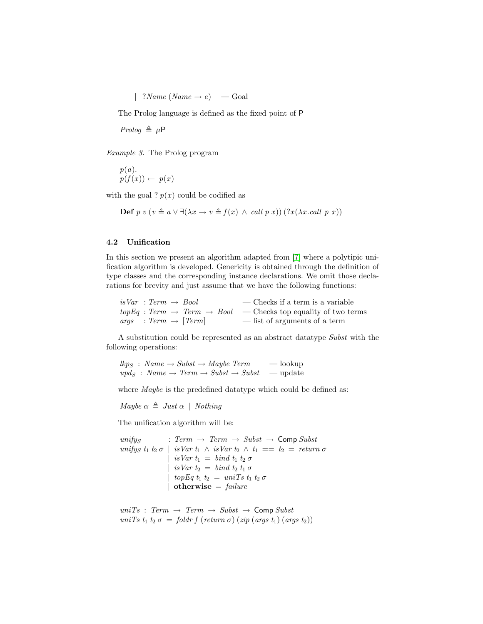| ?Name (Name  $\rightarrow e$ ) — Goal

The Prolog language is defined as the fixed point of P

 $Prolog \triangleq \mu P$ 

Example 3. The Prolog program

 $p(a).$  $p(f(x)) \leftarrow p(x)$ 

with the goal ?  $p(x)$  could be codified as

**Def**  $p \ v \ (v \triangleq a \lor \exists (\lambda x \rightarrow v \triangleq f(x) \land call p \ x))$   $(?x(\lambda x.call p \ x))$ 

#### 4.2 Unification

In this section we present an algorithm adapted from [\[7\]](#page-10-12) where a polytipic unification algorithm is developed. Genericity is obtained through the definition of type classes and the corresponding instance declarations. We omit those declarations for brevity and just assume that we have the following functions:

| $isVar : Term \rightarrow Bool$  | $\sim$ Checks if a term is a variable                                              |
|----------------------------------|------------------------------------------------------------------------------------|
|                                  | $topEq: Term \rightarrow Term \rightarrow Bool$ - Checks top equality of two terms |
| $args : Term \rightarrow [Term]$ | — list of arguments of a term                                                      |

A substitution could be represented as an abstract datatype Subst with the following operations:

 $\ell k p_S : Name \rightarrow Subst \rightarrow Maybe \; Term \;$  — lookup  $upd_S : Name \rightarrow Term \rightarrow Subst \rightarrow Subst$  — update

where *Maybe* is the predefined datatype which could be defined as:

Maybe  $\alpha \triangleq Just \alpha \mid Nothing$ 

The unification algorithm will be:

 $unify_S$  : Term  $\rightarrow$  Term  $\rightarrow$  Subst  $\rightarrow$  Comp Subst unifys  $t_1$   $t_2$   $\sigma$  | isVar  $t_1 \wedge$  isVar  $t_2 \wedge t_1 == t_2 = return \sigma$ | isVar  $t_1 = bind t_1 t_2 \sigma$ | isVar  $t_2 = bind t_2 t_1 \sigma$ | topEq  $t_1$   $t_2$  = uniTs  $t_1$   $t_2$   $\sigma$ | otherwise  $=$  failure

 $unifs: Term \rightarrow Term \rightarrow Subst \rightarrow CompSubst$ uniTs  $t_1$   $t_2$   $\sigma =$  foldr f (return  $\sigma$ ) (zip (args  $t_1$ ) (args  $t_2$ ))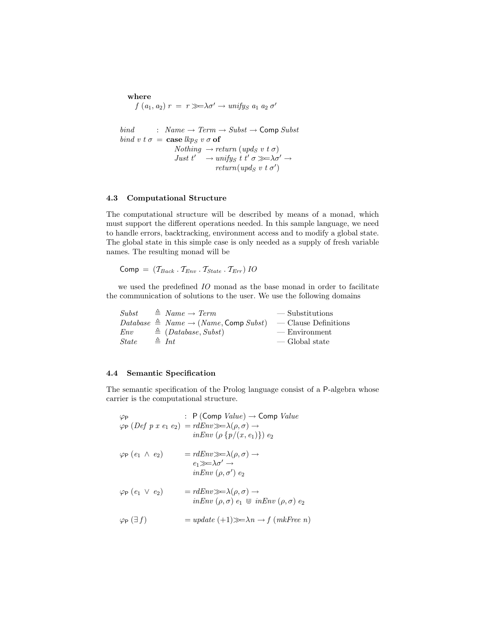# where  $f(a_1, a_2) r = r \gg \lambda \sigma' \rightarrow unify_S a_1 a_2 \sigma'$ bind :  $Name \rightarrow Term \rightarrow Subst \rightarrow Comp Subst$ bind v t  $\sigma = \cose \, \text{lkp}_S \, v \, \sigma \, \text{of}$  $Nothing \rightarrow return (upd_S \ v \ t \ \sigma)$ Just  $t' \rightarrow unify_S t t' \sigma \gg \lambda \sigma' \rightarrow$  $return(upds\ v\ t\ \sigma')$

#### 4.3 Computational Structure

The computational structure will be described by means of a monad, which must support the different operations needed. In this sample language, we need to handle errors, backtracking, environment access and to modify a global state. The global state in this simple case is only needed as a supply of fresh variable names. The resulting monad will be

$$
Comp = (T_{Back} \cdot T_{Env} \cdot T_{State} \cdot T_{Err}) \, IO
$$

we used the predefined IO monad as the base monad in order to facilitate the communication of solutions to the user. We use the following domains

| Subst        | $\triangleq$ Name $\rightarrow$ Term                        | — Substitutions      |
|--------------|-------------------------------------------------------------|----------------------|
|              | Database $\triangleq$ Name $\rightarrow$ (Name, Comp Subst) | — Clause Definitions |
| Env          | $\triangleq$ (Database, Subst)                              | — Environment        |
| <i>State</i> | $\triangleq Int$                                            | — Global state       |

#### 4.4 Semantic Specification

The semantic specification of the Prolog language consist of a P-algebra whose carrier is the computational structure.

| $\varphi_{\mathsf{P}}$            | : P (Comp $Value$ ) $\rightarrow$ Comp $Value$<br>$\varphi_P$ (Def p x e <sub>1</sub> e <sub>2</sub> ) = rdEnv $\gg \lambda(\rho, \sigma)$ $\rightarrow$<br><i>inEnv</i> $(\rho \{p/(x, e_1)\}) e_2$ |
|-----------------------------------|------------------------------------------------------------------------------------------------------------------------------------------------------------------------------------------------------|
| $\varphi_P(e_1 \wedge e_2)$       | $= r dEnv \gg \lambda(\rho, \sigma) \rightarrow$<br>$e_1 \ggg \lambda \sigma' \rightarrow$<br>inEnv $(\rho, \sigma')$ $e_2$                                                                          |
| $\varphi_P(e_1 \vee e_2)$         | $= r dEnv \gg \lambda(\rho, \sigma) \rightarrow$<br>$inEnv(\rho, \sigma) e_1 \subseteq inEnv(\rho, \sigma) e_2$                                                                                      |
| $\varphi_{\mathsf{P}}(\exists f)$ | $= update (+1) \gg \lambda n \rightarrow f (mkFree n)$                                                                                                                                               |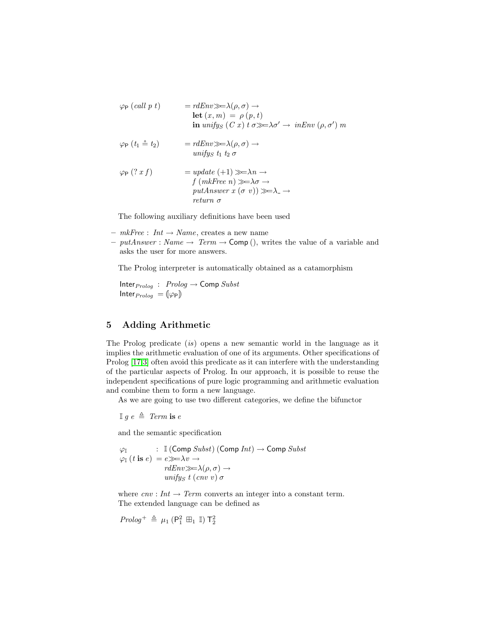$$
\varphi_{\mathsf{P}}\left(\text{call } p\ t\right) = r dE n v \implies \lambda(\rho, \sigma) \to
$$
\n
$$
\text{let } (x, m) = \rho(p, t)
$$
\n
$$
\text{in } \text{unif} y_S \ (C\ x) \ t \ \sigma \gg \to \lambda \sigma' \to \text{in} \ \text{Env } (\rho, \sigma') \ m
$$
\n
$$
\varphi_{\mathsf{P}}\left(t_1 \doteq t_2\right) = r dE n v \gg \lambda(\rho, \sigma) \to
$$
\n
$$
\text{unif} y_S \ t_1 \ t_2 \ \sigma
$$
\n
$$
\varphi_{\mathsf{P}}\left(? \ x \ f\right) = \text{update } (+1) \gg \to \lambda n \to
$$
\n
$$
\text{putAnswer } x \ (\sigma \ v)) \gg \to \lambda \to
$$
\n
$$
\text{return } \sigma
$$

The following auxiliary definitions have been used

- $m k$ Free : Int  $\rightarrow$  Name, creates a new name
- putAnswer : Name  $\rightarrow$  Term  $\rightarrow$  Comp (), writes the value of a variable and asks the user for more answers.

The Prolog interpreter is automatically obtained as a catamorphism

Inter $_{Prolog}$  :  $Prolog \rightarrow$  Comp  $Subst$ Inter $_{Prolog} = [\varphi_P]$ 

## <span id="page-8-0"></span>5 Adding Arithmetic

The Prolog predicate (is) opens a new semantic world in the language as it implies the arithmetic evaluation of one of its arguments. Other specifications of Prolog [\[17,](#page-10-13)[3\]](#page-10-14) often avoid this predicate as it can interfere with the understanding of the particular aspects of Prolog. In our approach, it is possible to reuse the independent specifications of pure logic programming and arithmetic evaluation and combine them to form a new language.

As we are going to use two different categories, we define the bifunctor

 $\mathbb{I}$  g  $e \triangleq \text{Term is } e$ 

and the semantic specification

$$
\varphi_{\mathbb{I}} : \mathbb{I}(\text{Comp} \text{Subst}) (\text{Comp} \text{Int}) \to \text{Comp} \text{Subst}
$$
\n
$$
\varphi_{\mathbb{I}}(t \text{ is } e) = e \gg \to v \to
$$
\n
$$
\text{rd} \text{Env} \gg \to \lambda(\rho, \sigma) \to
$$
\n
$$
\text{unify}_{S} t (\text{env } v) \sigma
$$

where  $cnv: Int \to Term$  converts an integer into a constant term. The extended language can be defined as

$$
\mathit{Prolog}^+ \ \triangleq \ \mu_1 \ (P_1^2 \ \boxplus_1 \ \mathbb{I}) \ \mathsf{T}_2^2
$$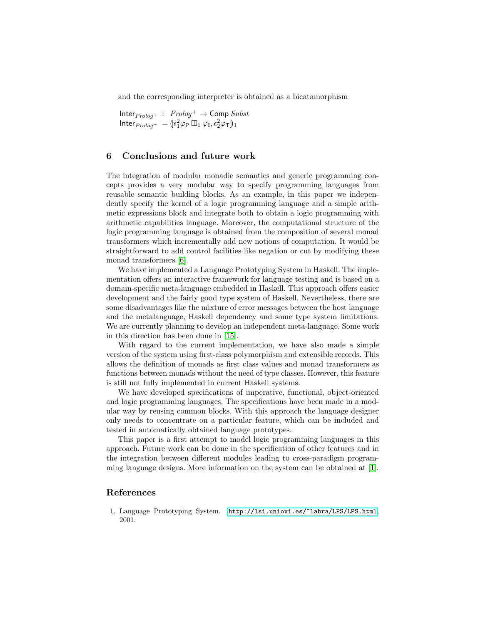and the corresponding interpreter is obtained as a bicatamorphism

$$
\begin{array}{l} \text{Inter}_{\mathit{Prolog}^+} \ : \ \mathit{Prolog}^+ \to \text{Comp} \ \mathit{Subst} \\ \text{Inter}_{\mathit{Prolog}^+} \ = \ (\epsilon_1^2 \varphi_P \boxplus_1 \varphi_{\mathbb{I}}, \epsilon_2^2 \varphi_{\mathbb{T}})_{1} \end{array}
$$

### 6 Conclusions and future work

The integration of modular monadic semantics and generic programming concepts provides a very modular way to specify programming languages from reusable semantic building blocks. As an example, in this paper we independently specify the kernel of a logic programming language and a simple arithmetic expressions block and integrate both to obtain a logic programming with arithmetic capabilities language. Moreover, the computational structure of the logic programming language is obtained from the composition of several monad transformers which incrementally add new notions of computation. It would be straightforward to add control facilities like negation or cut by modifying these monad transformers [\[6\]](#page-10-10).

We have implemented a Language Prototyping System in Haskell. The implementation offers an interactive framework for language testing and is based on a domain-specific meta-language embedded in Haskell. This approach offers easier development and the fairly good type system of Haskell. Nevertheless, there are some disadvantages like the mixture of error messages between the host language and the metalanguage, Haskell dependency and some type system limitations. We are currently planning to develop an independent meta-language. Some work in this direction has been done in [\[15\]](#page-10-15).

With regard to the current implementation, we have also made a simple version of the system using first-class polymorphism and extensible records. This allows the definition of monads as first class values and monad transformers as functions between monads without the need of type classes. However, this feature is still not fully implemented in current Haskell systems.

We have developed specifications of imperative, functional, object-oriented and logic programming languages. The specifications have been made in a modular way by reusing common blocks. With this approach the language designer only needs to concentrate on a particular feature, which can be included and tested in automatically obtained language prototypes.

This paper is a first attempt to model logic programming languages in this approach. Future work can be done in the specification of other features and in the integration between different modules leading to cross-paradigm programming language designs. More information on the system can be obtained at [\[1\]](#page-9-0).

#### References

<span id="page-9-0"></span>1. Language Prototyping System. <http://lsi.uniovi.es/~labra/LPS/LPS.html>, 2001.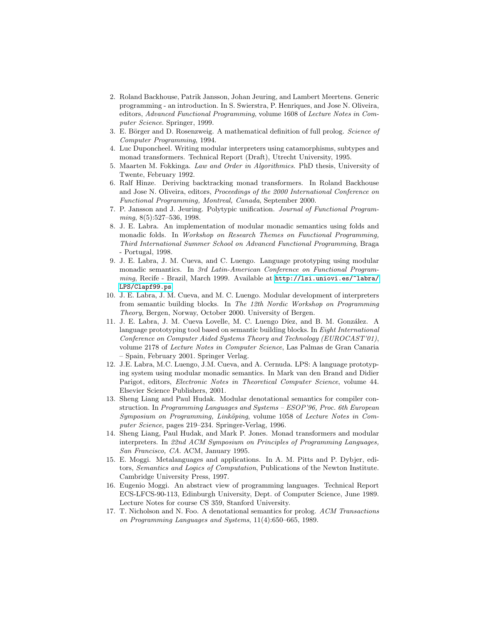- <span id="page-10-3"></span>2. Roland Backhouse, Patrik Jansson, Johan Jeuring, and Lambert Meertens. Generic programming - an introduction. In S. Swierstra, P. Henriques, and Jose N. Oliveira, editors, Advanced Functional Programming, volume 1608 of Lecture Notes in Computer Science. Springer, 1999.
- <span id="page-10-14"></span>3. E. Börger and D. Rosenzweig. A mathematical definition of full prolog. Science of Computer Programming, 1994.
- <span id="page-10-4"></span>4. Luc Duponcheel. Writing modular interpreters using catamorphisms, subtypes and monad transformers. Technical Report (Draft), Utrecht University, 1995.
- <span id="page-10-11"></span>5. Maarten M. Fokkinga. Law and Order in Algorithmics. PhD thesis, University of Twente, February 1992.
- <span id="page-10-10"></span>6. Ralf Hinze. Deriving backtracking monad transformers. In Roland Backhouse and Jose N. Oliveira, editors, Proceedings of the 2000 International Conference on Functional Programming, Montreal, Canada, September 2000.
- <span id="page-10-12"></span>7. P. Jansson and J. Jeuring. Polytypic unification. Journal of Functional Programming, 8(5):527–536, 1998.
- <span id="page-10-5"></span>8. J. E. Labra. An implementation of modular monadic semantics using folds and monadic folds. In Workshop on Research Themes on Functional Programming, Third International Summer School on Advanced Functional Programming, Braga - Portugal, 1998.
- <span id="page-10-6"></span>9. J. E. Labra, J. M. Cueva, and C. Luengo. Language prototyping using modular monadic semantics. In 3rd Latin-American Conference on Functional Programming, Recife - Brazil, March 1999. Available at [http://lsi.uniovi.es/~labra/](http://lsi.uniovi.es/~labra/LPS/Clapf99.ps) [LPS/Clapf99.ps](http://lsi.uniovi.es/~labra/LPS/Clapf99.ps).
- <span id="page-10-7"></span>10. J. E. Labra, J. M. Cueva, and M. C. Luengo. Modular development of interpreters from semantic building blocks. In The 12th Nordic Workshop on Programming Theory, Bergen, Norway, October 2000. University of Bergen.
- <span id="page-10-9"></span>11. J. E. Labra, J. M. Cueva Lovelle, M. C. Luengo Díez, and B. M. González. A language prototyping tool based on semantic building blocks. In Eight International Conference on Computer Aided Systems Theory and Technology (EUROCAST'01), volume 2178 of Lecture Notes in Computer Science, Las Palmas de Gran Canaria – Spain, February 2001. Springer Verlag.
- <span id="page-10-8"></span>12. J.E. Labra, M.C. Luengo, J.M. Cueva, and A. Cernuda. LPS: A language prototyping system using modular monadic semantics. In Mark van den Brand and Didier Parigot, editors, Electronic Notes in Theoretical Computer Science, volume 44. Elsevier Science Publishers, 2001.
- <span id="page-10-2"></span>13. Sheng Liang and Paul Hudak. Modular denotational semantics for compiler construction. In Programming Languages and Systems – ESOP'96, Proc. 6th European Symposium on Programming, Linköping, volume 1058 of Lecture Notes in Computer Science, pages 219–234. Springer-Verlag, 1996.
- <span id="page-10-1"></span>14. Sheng Liang, Paul Hudak, and Mark P. Jones. Monad transformers and modular interpreters. In 22nd ACM Symposium on Principles of Programming Languages, San Francisco, CA. ACM, January 1995.
- <span id="page-10-15"></span>15. E. Moggi. Metalanguages and applications. In A. M. Pitts and P. Dybjer, editors, Semantics and Logics of Computation, Publications of the Newton Institute. Cambridge University Press, 1997.
- <span id="page-10-0"></span>16. Eugenio Moggi. An abstract view of programming languages. Technical Report ECS-LFCS-90-113, Edinburgh University, Dept. of Computer Science, June 1989. Lecture Notes for course CS 359, Stanford University.
- <span id="page-10-13"></span>17. T. Nicholson and N. Foo. A denotational semantics for prolog. ACM Transactions on Programming Languages and Systems, 11(4):650–665, 1989.